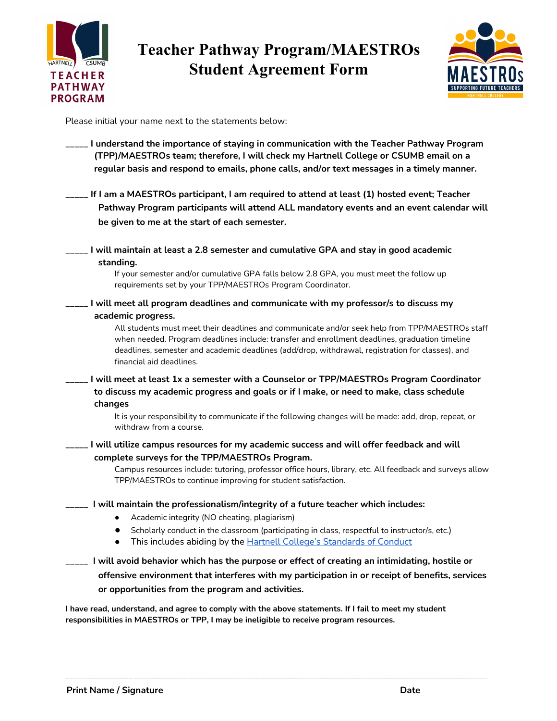

## **Teacher Pathway Program/MAESTROs Student Agreement Form**



Please initial your name next to the statements below:

| I understand the importance of staying in communication with the Teacher Pathway Program<br>(TPP)/MAESTROs team; therefore, I will check my Hartnell College or CSUMB email on a<br>regular basis and respond to emails, phone calls, and/or text messages in a timely manner.                                                                          |
|---------------------------------------------------------------------------------------------------------------------------------------------------------------------------------------------------------------------------------------------------------------------------------------------------------------------------------------------------------|
| If I am a MAESTROs participant, I am required to attend at least (1) hosted event; Teacher<br>Pathway Program participants will attend ALL mandatory events and an event calendar will                                                                                                                                                                  |
| be given to me at the start of each semester.                                                                                                                                                                                                                                                                                                           |
| I will maintain at least a 2.8 semester and cumulative GPA and stay in good academic<br>standing.<br>If your semester and/or cumulative GPA falls below 2.8 GPA, you must meet the follow up<br>requirements set by your TPP/MAESTROs Program Coordinator.                                                                                              |
| I will meet all program deadlines and communicate with my professor/s to discuss my                                                                                                                                                                                                                                                                     |
| academic progress.<br>All students must meet their deadlines and communicate and/or seek help from TPP/MAESTROs staff<br>when needed. Program deadlines include: transfer and enrollment deadlines, graduation timeline<br>deadlines, semester and academic deadlines (add/drop, withdrawal, registration for classes), and<br>financial aid deadlines. |
| I will meet at least 1x a semester with a Counselor or TPP/MAESTROs Program Coordinator<br>to discuss my academic progress and goals or if I make, or need to make, class schedule<br>changes<br>It is your responsibility to communicate if the following changes will be made: add, drop, repeat, or                                                  |
| withdraw from a course.                                                                                                                                                                                                                                                                                                                                 |
| I will utilize campus resources for my academic success and will offer feedback and will<br>complete surveys for the TPP/MAESTROs Program.                                                                                                                                                                                                              |
| Campus resources include: tutoring, professor office hours, library, etc. All feedback and surveys allow<br>TPP/MAESTROs to continue improving for student satisfaction.                                                                                                                                                                                |
| I will maintain the professionalism/integrity of a future teacher which includes:                                                                                                                                                                                                                                                                       |
| Academic integrity (NO cheating, plagiarism)                                                                                                                                                                                                                                                                                                            |
| Scholarly conduct in the classroom (participating in class, respectful to instructor/s, etc.)<br>This includes abiding by the <b>Hartnell College's Standards of Conduct</b><br>$\bullet$                                                                                                                                                               |
| I will avoid behavior which has the purpose or effect of creating an intimidating, hostile or<br>offensive environment that interferes with my participation in or receipt of benefits, services<br>or opportunities from the program and activities.                                                                                                   |

**I have read, understand, and agree to comply with the above statements. If I fail to meet my student responsibilities in MAESTROs or TPP, I may be ineligible to receive program resources.**

\_\_\_\_\_\_\_\_\_\_\_\_\_\_\_\_\_\_\_\_\_\_\_\_\_\_\_\_\_\_\_\_\_\_\_\_\_\_\_\_\_\_\_\_\_\_\_\_\_\_\_\_\_\_\_\_\_\_\_\_\_\_\_\_\_\_\_\_\_\_\_\_\_\_\_\_\_\_\_\_\_\_\_\_\_\_\_\_\_\_\_\_\_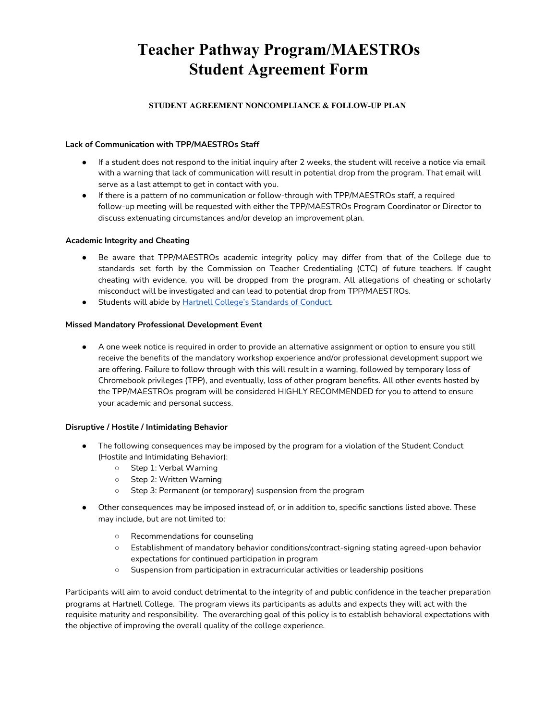## **Teacher Pathway Program/MAESTROs Student Agreement Form**

#### **STUDENT AGREEMENT NONCOMPLIANCE & FOLLOW-UP PLAN**

#### **Lack of Communication with TPP/MAESTROs Staff**

- If a student does not respond to the initial inquiry after 2 weeks, the student will receive a notice via email with a warning that lack of communication will result in potential drop from the program. That email will serve as a last attempt to get in contact with you.
- If there is a pattern of no communication or follow-through with TPP/MAESTROs staff, a required follow-up meeting will be requested with either the TPP/MAESTROs Program Coordinator or Director to discuss extenuating circumstances and/or develop an improvement plan.

#### **Academic Integrity and Cheating**

- Be aware that TPP/MAESTROs academic integrity policy may differ from that of the College due to standards set forth by the Commission on Teacher Credentialing (CTC) of future teachers. If caught cheating with evidence, you will be dropped from the program. All allegations of cheating or scholarly misconduct will be investigated and can lead to potential drop from TPP/MAESTROs.
- Students will abide by Hartnell College's Standards of Conduct.

#### **Missed Mandatory Professiona[l Development Event](https://www.hartnell.edu/students/standards-student-conduct.html)**

● A one week notice is required in order to provide an alternative assignment or option to ensure you still receive the benefits of the mandatory workshop experience and/or professional development support we are offering. Failure to follow through with this will result in a warning, followed by temporary loss of Chromebook privileges (TPP), and eventually, loss of other program benefits. All other events hosted by the TPP/MAESTROs program will be considered HIGHLY RECOMMENDED for you to attend to ensure your academic and personal success.

#### **Disruptive / Hostile / Intimidating Behavior**

- The following consequences may be imposed by the program for a violation of the Student Conduct (Hostile and Intimidating Behavior):
	- Step 1: Verbal Warning
	- Step 2: Written Warning
	- Step 3: Permanent (or temporary) suspension from the program
- Other consequences may be imposed instead of, or in addition to, specific sanctions listed above. These may include, but are not limited to:
	- Recommendations for counseling
	- Establishment of mandatory behavior conditions/contract-signing stating agreed-upon behavior expectations for continued participation in program
	- Suspension from participation in extracurricular activities or leadership positions

Participants will aim to avoid conduct detrimental to the integrity of and public confidence in the teacher preparation programs at Hartnell College. The program views its participants as adults and expects they will act with the requisite maturity and responsibility. The overarching goal of this policy is to establish behavioral expectations with the objective of improving the overall quality of the college experience.